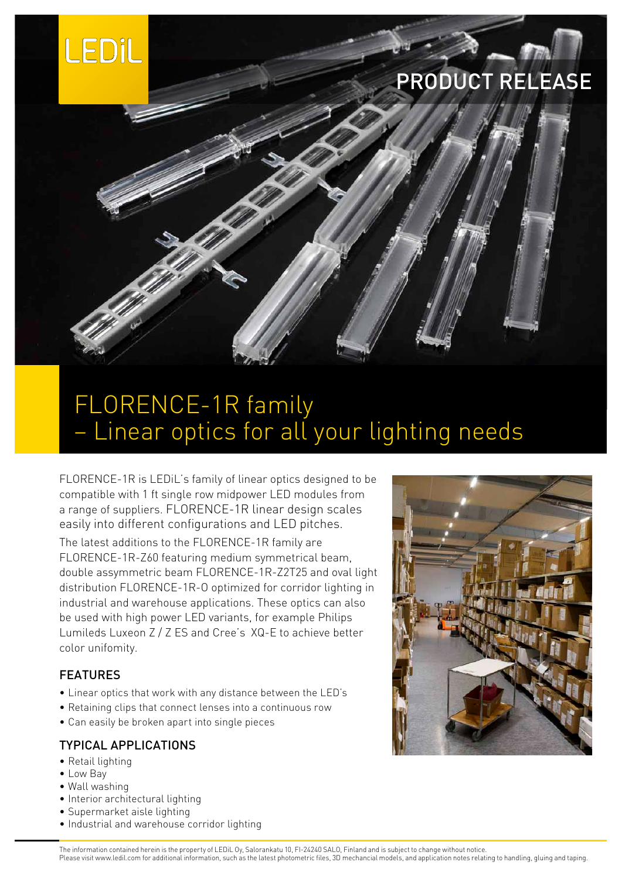

# PRODUCT RELEASE

## FLORENCE-1R family – Linear optics for all your lighting needs

FLORENCE-1R is LEDiL's family of linear optics designed to be compatible with 1 ft single row midpower LED modules from a range of suppliers. FLORENCE-1R linear design scales easily into different configurations and LED pitches.

The latest additions to the FLORENCE-1R family are FLORENCE-1R-Z60 featuring medium symmetrical beam, double assymmetric beam FLORENCE-1R-Z2T25 and oval light distribution FLORENCE-1R-O optimized for corridor lighting in industrial and warehouse applications. These optics can also be used with high power LED variants, for example Philips Lumileds Luxeon Z / Z ES and Cree's XQ-E to achieve better color unifomity.

#### FEATURES

- • Linear optics that work with any distance between the LED's
- Retaining clips that connect lenses into a continuous row
- Can easily be broken apart into single pieces

#### TYPICAL APPLICATIONS

- Retail lighting
- • Low Bay
- • Wall washing
- Interior architectural lighting
- • Supermarket aisle lighting
- Industrial and warehouse corridor lighting



The information contained herein is the property of LEDiL Oy, Salorankatu 10, FI-24240 SALO, Finland and is subject to change without notice. Please visit www.ledil.com for additional information, such as the latest photometric files, 3D mechancial models, and application notes relating to handling, gluing and taping.